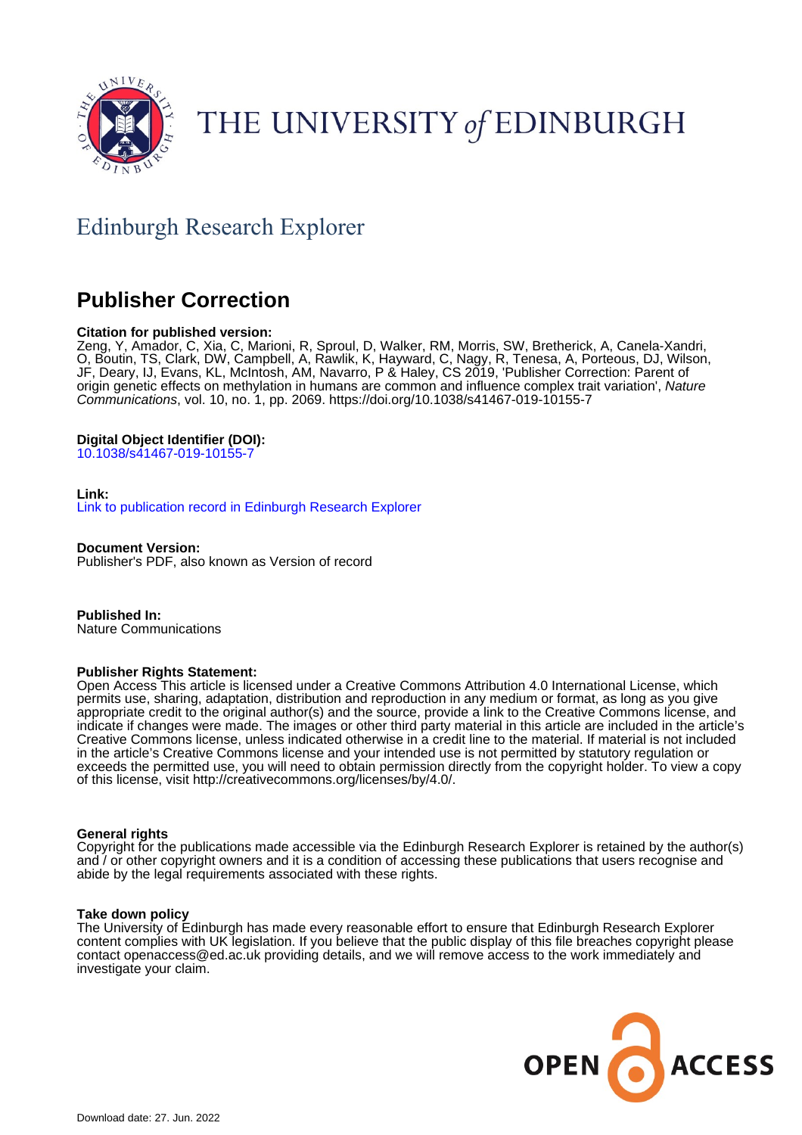

# THE UNIVERSITY of EDINBURGH

## Edinburgh Research Explorer

### **Publisher Correction**

#### **Citation for published version:**

Zeng, Y, Amador, C, Xia, C, Marioni, R, Sproul, D, Walker, RM, Morris, SW, Bretherick, A, Canela-Xandri, O, Boutin, TS, Clark, DW, Campbell, A, Rawlik, K, Hayward, C, Nagy, R, Tenesa, A, Porteous, DJ, Wilson, JF, Deary, IJ, Evans, KL, McIntosh, AM, Navarro, P & Haley, CS 2019, 'Publisher Correction: Parent of origin genetic effects on methylation in humans are common and influence complex trait variation', Nature Communications, vol. 10, no. 1, pp. 2069.<https://doi.org/10.1038/s41467-019-10155-7>

#### **Digital Object Identifier (DOI):**

[10.1038/s41467-019-10155-7](https://doi.org/10.1038/s41467-019-10155-7)

#### **Link:**

[Link to publication record in Edinburgh Research Explorer](https://www.research.ed.ac.uk/en/publications/176c062f-9827-4f2a-9bd9-10cb21ff3099)

**Document Version:** Publisher's PDF, also known as Version of record

**Published In:** Nature Communications

#### **Publisher Rights Statement:**

Open Access This article is licensed under a Creative Commons Attribution 4.0 International License, which permits use, sharing, adaptation, distribution and reproduction in any medium or format, as long as you give appropriate credit to the original author(s) and the source, provide a link to the Creative Commons license, and indicate if changes were made. The images or other third party material in this article are included in the article's Creative Commons license, unless indicated otherwise in a credit line to the material. If material is not included in the article's Creative Commons license and your intended use is not permitted by statutory regulation or exceeds the permitted use, you will need to obtain permission directly from the copyright holder. To view a copy of this license, visit http://creativecommons.org/licenses/by/4.0/.

#### **General rights**

Copyright for the publications made accessible via the Edinburgh Research Explorer is retained by the author(s) and / or other copyright owners and it is a condition of accessing these publications that users recognise and abide by the legal requirements associated with these rights.

#### **Take down policy**

The University of Edinburgh has made every reasonable effort to ensure that Edinburgh Research Explorer content complies with UK legislation. If you believe that the public display of this file breaches copyright please contact openaccess@ed.ac.uk providing details, and we will remove access to the work immediately and investigate your claim.